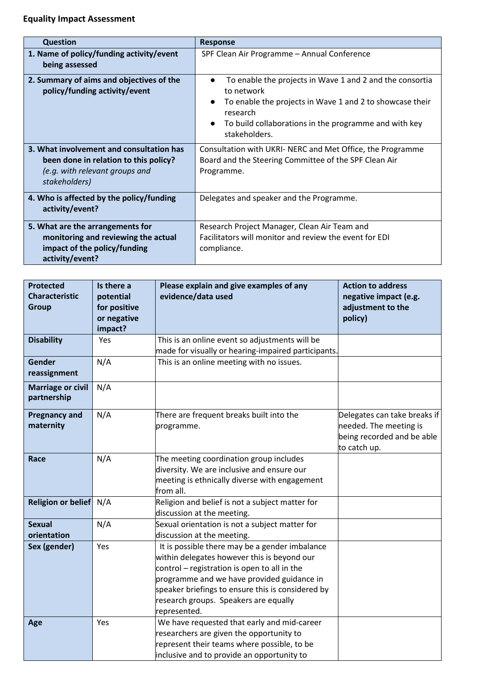## **Equality Impact Assessment**

| <b>Question</b>                                                                                                                      | <b>Response</b>                                                                                                                                                                                                                       |  |
|--------------------------------------------------------------------------------------------------------------------------------------|---------------------------------------------------------------------------------------------------------------------------------------------------------------------------------------------------------------------------------------|--|
| 1. Name of policy/funding activity/event<br>being assessed                                                                           | SPF Clean Air Programme - Annual Conference                                                                                                                                                                                           |  |
| 2. Summary of aims and objectives of the<br>policy/funding activity/event                                                            | To enable the projects in Wave 1 and 2 and the consortia<br>to network<br>To enable the projects in Wave 1 and 2 to showcase their<br>$\bullet$<br>research<br>To build collaborations in the programme and with key<br>stakeholders. |  |
| 3. What involvement and consultation has<br>been done in relation to this policy?<br>(e.g. with relevant groups and<br>stakeholders) | Consultation with UKRI- NERC and Met Office, the Programme<br>Board and the Steering Committee of the SPF Clean Air<br>Programme.                                                                                                     |  |
| 4. Who is affected by the policy/funding<br>activity/event?                                                                          | Delegates and speaker and the Programme.                                                                                                                                                                                              |  |
| 5. What are the arrangements for<br>monitoring and reviewing the actual<br>impact of the policy/funding<br>activity/event?           | Research Project Manager, Clean Air Team and<br>Facilitators will monitor and review the event for EDI<br>compliance.                                                                                                                 |  |

| <b>Protected</b><br><b>Characteristic</b><br><b>Group</b> | Is there a<br>potential<br>for positive<br>or negative<br>impact? | Please explain and give examples of any<br>evidence/data used                                                                                                                                                                                                                                             | <b>Action to address</b><br>negative impact (e.g.<br>adjustment to the<br>policy)                    |
|-----------------------------------------------------------|-------------------------------------------------------------------|-----------------------------------------------------------------------------------------------------------------------------------------------------------------------------------------------------------------------------------------------------------------------------------------------------------|------------------------------------------------------------------------------------------------------|
| <b>Disability</b>                                         | Yes                                                               | This is an online event so adjustments will be<br>made for visually or hearing-impaired participants.                                                                                                                                                                                                     |                                                                                                      |
| <b>Gender</b><br>reassignment                             | N/A                                                               | This is an online meeting with no issues.                                                                                                                                                                                                                                                                 |                                                                                                      |
| <b>Marriage or civil</b><br>partnership                   | N/A                                                               |                                                                                                                                                                                                                                                                                                           |                                                                                                      |
| <b>Pregnancy and</b><br>maternity                         | N/A                                                               | There are frequent breaks built into the<br>programme.                                                                                                                                                                                                                                                    | Delegates can take breaks if<br>needed. The meeting is<br>being recorded and be able<br>to catch up. |
| Race                                                      | N/A                                                               | The meeting coordination group includes<br>diversity. We are inclusive and ensure our<br>meeting is ethnically diverse with engagement<br>from all.                                                                                                                                                       |                                                                                                      |
| <b>Religion or belief</b>                                 | N/A                                                               | Religion and belief is not a subject matter for<br>discussion at the meeting.                                                                                                                                                                                                                             |                                                                                                      |
| <b>Sexual</b><br>orientation                              | N/A                                                               | Sexual orientation is not a subject matter for<br>discussion at the meeting.                                                                                                                                                                                                                              |                                                                                                      |
| Sex (gender)                                              | Yes                                                               | It is possible there may be a gender imbalance<br>within delegates however this is beyond our<br>control - registration is open to all in the<br>programme and we have provided guidance in<br>speaker briefings to ensure this is considered by<br>research groups. Speakers are equally<br>represented. |                                                                                                      |
| Age                                                       | Yes                                                               | We have requested that early and mid-career<br>researchers are given the opportunity to<br>represent their teams where possible, to be<br>inclusive and to provide an opportunity to                                                                                                                      |                                                                                                      |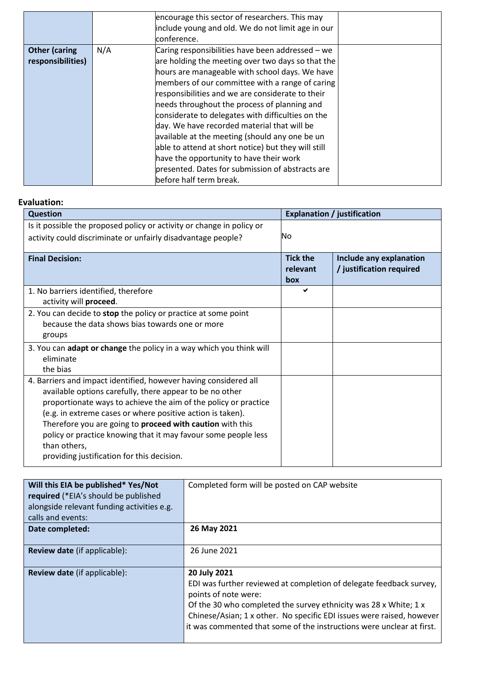|                      |     | encourage this sector of researchers. This may<br>include young and old. We do not limit age in our<br>conference. |  |
|----------------------|-----|--------------------------------------------------------------------------------------------------------------------|--|
| <b>Other (caring</b> | N/A | Caring responsibilities have been addressed – we                                                                   |  |
| responsibilities)    |     | are holding the meeting over two days so that the                                                                  |  |
|                      |     | hours are manageable with school days. We have                                                                     |  |
|                      |     | members of our committee with a range of caring                                                                    |  |
|                      |     | responsibilities and we are considerate to their                                                                   |  |
|                      |     | needs throughout the process of planning and                                                                       |  |
|                      |     | considerate to delegates with difficulties on the                                                                  |  |
|                      |     | day. We have recorded material that will be                                                                        |  |
|                      |     | available at the meeting (should any one be un                                                                     |  |
|                      |     | able to attend at short notice) but they will still                                                                |  |
|                      |     | have the opportunity to have their work                                                                            |  |
|                      |     | presented. Dates for submission of abstracts are                                                                   |  |
|                      |     | before half term break.                                                                                            |  |

## **Evaluation:**

| <b>Question</b>                                                       |                                    | <b>Explanation / justification</b>                  |
|-----------------------------------------------------------------------|------------------------------------|-----------------------------------------------------|
| Is it possible the proposed policy or activity or change in policy or |                                    |                                                     |
| activity could discriminate or unfairly disadvantage people?          | No                                 |                                                     |
| <b>Final Decision:</b>                                                | <b>Tick the</b><br>relevant<br>box | Include any explanation<br>/ justification required |
| 1. No barriers identified, therefore                                  | ✔                                  |                                                     |
| activity will proceed.                                                |                                    |                                                     |
| 2. You can decide to stop the policy or practice at some point        |                                    |                                                     |
| because the data shows bias towards one or more                       |                                    |                                                     |
| groups                                                                |                                    |                                                     |
| 3. You can adapt or change the policy in a way which you think will   |                                    |                                                     |
| eliminate                                                             |                                    |                                                     |
| the bias                                                              |                                    |                                                     |
| 4. Barriers and impact identified, however having considered all      |                                    |                                                     |
| available options carefully, there appear to be no other              |                                    |                                                     |
| proportionate ways to achieve the aim of the policy or practice       |                                    |                                                     |
| (e.g. in extreme cases or where positive action is taken).            |                                    |                                                     |
| Therefore you are going to <b>proceed with caution</b> with this      |                                    |                                                     |
| policy or practice knowing that it may favour some people less        |                                    |                                                     |
| than others,                                                          |                                    |                                                     |
| providing justification for this decision.                            |                                    |                                                     |

| Will this EIA be published* Yes/Not        | Completed form will be posted on CAP website                                                                                                                                                                                                                                                                                      |
|--------------------------------------------|-----------------------------------------------------------------------------------------------------------------------------------------------------------------------------------------------------------------------------------------------------------------------------------------------------------------------------------|
| required (*EIA's should be published       |                                                                                                                                                                                                                                                                                                                                   |
| alongside relevant funding activities e.g. |                                                                                                                                                                                                                                                                                                                                   |
| calls and events:                          |                                                                                                                                                                                                                                                                                                                                   |
| Date completed:                            | 26 May 2021                                                                                                                                                                                                                                                                                                                       |
| <b>Review date</b> (if applicable):        | 26 June 2021                                                                                                                                                                                                                                                                                                                      |
| <b>Review date</b> (if applicable):        | 20 July 2021<br>EDI was further reviewed at completion of delegate feedback survey,<br>points of note were:<br>Of the 30 who completed the survey ethnicity was 28 x White; 1 x<br>Chinese/Asian; 1 x other. No specific EDI issues were raised, however<br>it was commented that some of the instructions were unclear at first. |